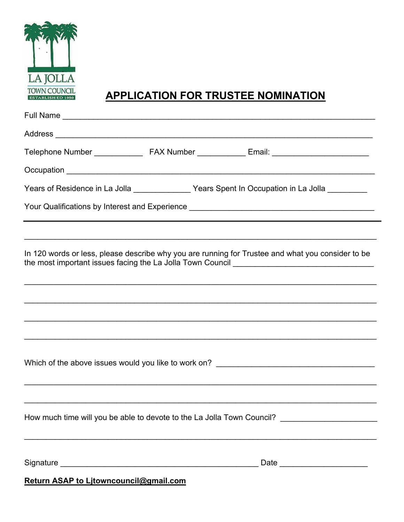

## **APPLICATION FOR TRUSTEE NOMINATION**

| Years of Residence in La Jolla _______________Years Spent In Occupation in La Jolla _________                                                                                                                                                                                                                                                         |
|-------------------------------------------------------------------------------------------------------------------------------------------------------------------------------------------------------------------------------------------------------------------------------------------------------------------------------------------------------|
| Your Qualifications by Interest and Experience [19] [2012] [2012] [2012] [2012] [2012] [2012] [2012] [2012] [2012] [<br>the control of the control of the control of the control of the control of the control of the control of the control of the control of the control of the control of the control of the control of the control of the control |
|                                                                                                                                                                                                                                                                                                                                                       |
| In 120 words or less, please describe why you are running for Trustee and what you consider to be                                                                                                                                                                                                                                                     |
|                                                                                                                                                                                                                                                                                                                                                       |
| ,我们也不能在这里的人,我们也不能在这里的人,我们也不能在这里的人,我们也不能不能不能不能不能不能不能不能不能不能。""我们,我们也不能不能不能不能不能不能不能                                                                                                                                                                                                                                                                      |
|                                                                                                                                                                                                                                                                                                                                                       |
| ,我们也不能在这里的人,我们也不能在这里的人,我们也不能不能不能不能不能不能不能不能不能不能不能。""我们的人,我们也不能不能不能不能不能不能不能不能不能不能不                                                                                                                                                                                                                                                                      |
|                                                                                                                                                                                                                                                                                                                                                       |
| How much time will you be able to devote to the La Jolla Town Council? _____________________________                                                                                                                                                                                                                                                  |
|                                                                                                                                                                                                                                                                                                                                                       |
|                                                                                                                                                                                                                                                                                                                                                       |

Return ASAP to Litowncouncil@gmail.com